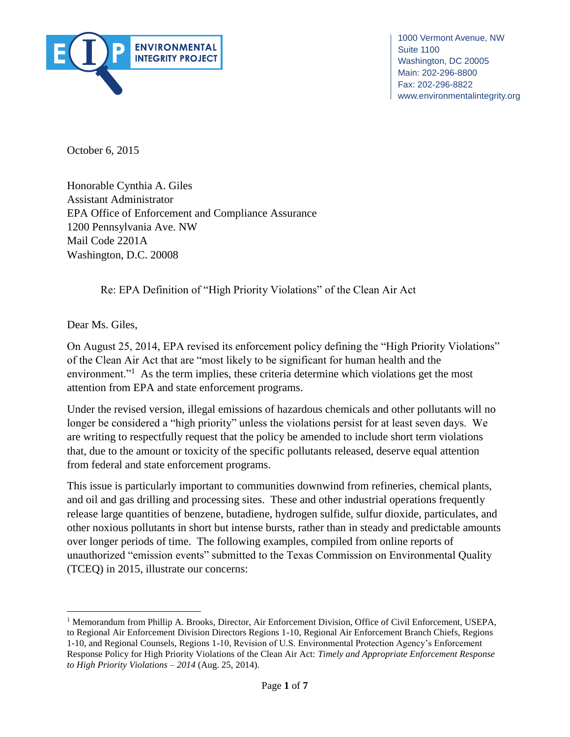

1000 Vermont Avenue, NW Washington, DC 20005 Fax: 202-296-8822 Suite 1100 Main: 202-296-8800 www.environmentalintegrity.org

October 6, 2015

 $\log$ EPA Office of Enforcement and Compliance Assurance Honorable Cynthia A. Giles Assistant Administrator 1200 Pennsylvania Ave. NW Mail Code 2201A Washington, D.C. 20008

Re: EPA Definition of "High Priority Violations" of the Clean Air Act

Dear Ms. Giles,

 $\overline{a}$ 

On August 25, 2014, EPA revised its enforcement policy defining the "High Priority Violations" of the Clean Air Act that are "most likely to be significant for human health and the environment."<sup>1</sup> As the term implies, these criteria determine which violations get the most attention from EPA and state enforcement programs.

Under the revised version, illegal emissions of hazardous chemicals and other pollutants will no longer be considered a "high priority" unless the violations persist for at least seven days. We are writing to respectfully request that the policy be amended to include short term violations that, due to the amount or toxicity of the specific pollutants released, deserve equal attention from federal and state enforcement programs.

This issue is particularly important to communities downwind from refineries, chemical plants, and oil and gas drilling and processing sites. These and other industrial operations frequently release large quantities of benzene, butadiene, hydrogen sulfide, sulfur dioxide, particulates, and other noxious pollutants in short but intense bursts, rather than in steady and predictable amounts over longer periods of time. The following examples, compiled from online reports of unauthorized "emission events" submitted to the Texas Commission on Environmental Quality (TCEQ) in 2015, illustrate our concerns:

*to High Priority Violations – 2014* (Aug. 25, 2014).

<sup>&</sup>lt;sup>1</sup> Memorandum from Phillip A. Brooks, Director, Air Enforcement Division, Office of Civil Enforcement, USEPA, to Regional Air Enforcement Division Directors Regions 1-10, Regional Air Enforcement Branch Chiefs, Regions 1-10, and Regional Counsels, Regions 1-10, Revision of U.S. Environmental Protection Agency's Enforcement Response Policy for High Priority Violations of the Clean Air Act: *Timely and Appropriate Enforcement Response*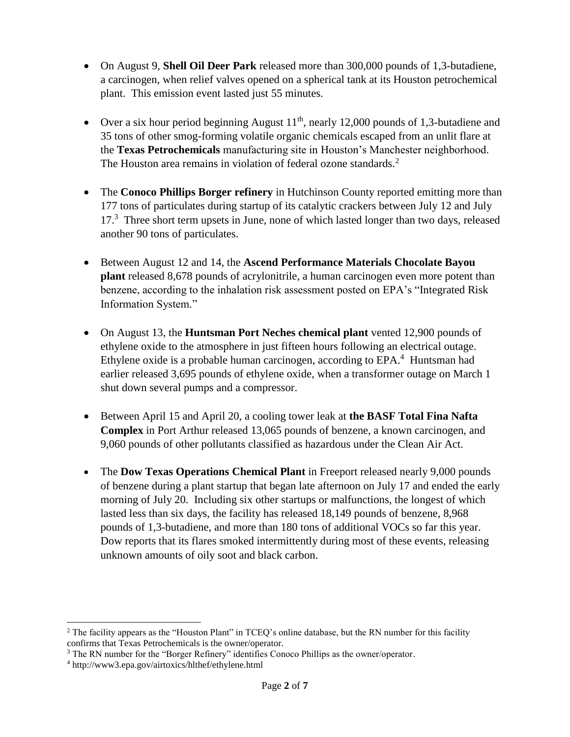- On August 9, **Shell Oil Deer Park** released more than 300,000 pounds of 1,3-butadiene, a carcinogen, when relief valves opened on a spherical tank at its Houston petrochemical plant. This emission event lasted just 55 minutes.
- Over a six hour period beginning August  $11<sup>th</sup>$ , nearly 12,000 pounds of 1.3-butadiene and 35 tons of other smog-forming volatile organic chemicals escaped from an unlit flare at the **Texas Petrochemicals** manufacturing site in Houston's Manchester neighborhood. The Houston area remains in violation of federal ozone standards.<sup>2</sup>
- The **Conoco Phillips Borger refinery** in Hutchinson County reported emitting more than 177 tons of particulates during startup of its catalytic crackers between July 12 and July 17.<sup>3</sup> Three short term upsets in June, none of which lasted longer than two days, released another 90 tons of particulates.
- Between August 12 and 14, the **Ascend Performance Materials Chocolate Bayou plant** released 8,678 pounds of acrylonitrile, a human carcinogen even more potent than benzene, according to the inhalation risk assessment posted on EPA's "Integrated Risk Information System."
- On August 13, the **Huntsman Port Neches chemical plant** vented 12,900 pounds of ethylene oxide to the atmosphere in just fifteen hours following an electrical outage. Ethylene oxide is a probable human carcinogen, according to  $EPA<sup>4</sup>$  Huntsman had earlier released 3,695 pounds of ethylene oxide, when a transformer outage on March 1 shut down several pumps and a compressor.
- Between April 15 and April 20, a cooling tower leak at **the BASF Total Fina Nafta Complex** in Port Arthur released 13,065 pounds of benzene, a known carcinogen, and 9,060 pounds of other pollutants classified as hazardous under the Clean Air Act.
- The **Dow Texas Operations Chemical Plant** in Freeport released nearly 9,000 pounds of benzene during a plant startup that began late afternoon on July 17 and ended the early morning of July 20. Including six other startups or malfunctions, the longest of which lasted less than six days, the facility has released 18,149 pounds of benzene, 8,968 pounds of 1,3-butadiene, and more than 180 tons of additional VOCs so far this year. Dow reports that its flares smoked intermittently during most of these events, releasing unknown amounts of oily soot and black carbon.

 $\overline{\phantom{a}}$ 

<sup>&</sup>lt;sup>2</sup> The facility appears as the "Houston Plant" in TCEQ's online database, but the RN number for this facility confirms that Texas Petrochemicals is the owner/operator.

<sup>3</sup> The RN number for the "Borger Refinery" identifies Conoco Phillips as the owner/operator.

<sup>4</sup> http://www3.epa.gov/airtoxics/hlthef/ethylene.html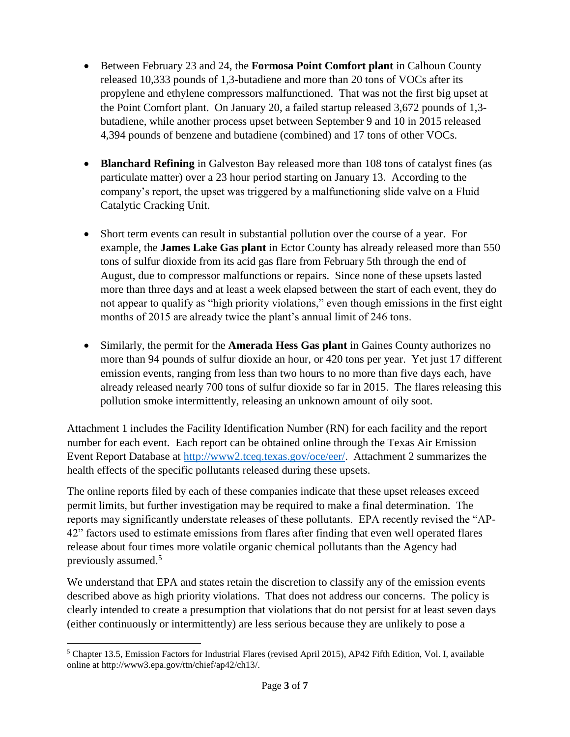- Between February 23 and 24, the **Formosa Point Comfort plant** in Calhoun County released 10,333 pounds of 1,3-butadiene and more than 20 tons of VOCs after its propylene and ethylene compressors malfunctioned. That was not the first big upset at the Point Comfort plant. On January 20, a failed startup released 3,672 pounds of 1,3 butadiene, while another process upset between September 9 and 10 in 2015 released 4,394 pounds of benzene and butadiene (combined) and 17 tons of other VOCs.
- **Blanchard Refining** in Galveston Bay released more than 108 tons of catalyst fines (as particulate matter) over a 23 hour period starting on January 13. According to the company's report, the upset was triggered by a malfunctioning slide valve on a Fluid Catalytic Cracking Unit.
- Short term events can result in substantial pollution over the course of a year. For example, the **James Lake Gas plant** in Ector County has already released more than 550 tons of sulfur dioxide from its acid gas flare from February 5th through the end of August, due to compressor malfunctions or repairs. Since none of these upsets lasted more than three days and at least a week elapsed between the start of each event, they do not appear to qualify as "high priority violations," even though emissions in the first eight months of 2015 are already twice the plant's annual limit of 246 tons.
- Similarly, the permit for the **Amerada Hess Gas plant** in Gaines County authorizes no more than 94 pounds of sulfur dioxide an hour, or 420 tons per year. Yet just 17 different emission events, ranging from less than two hours to no more than five days each, have already released nearly 700 tons of sulfur dioxide so far in 2015. The flares releasing this pollution smoke intermittently, releasing an unknown amount of oily soot.

Attachment 1 includes the Facility Identification Number (RN) for each facility and the report number for each event. Each report can be obtained online through the Texas Air Emission Event Report Database at [http://www2.tceq.texas.gov/oce/eer/.](http://www2.tceq.texas.gov/oce/eer/) Attachment 2 summarizes the health effects of the specific pollutants released during these upsets.

The online reports filed by each of these companies indicate that these upset releases exceed permit limits, but further investigation may be required to make a final determination. The reports may significantly understate releases of these pollutants. EPA recently revised the "AP-42" factors used to estimate emissions from flares after finding that even well operated flares release about four times more volatile organic chemical pollutants than the Agency had previously assumed.<sup>5</sup>

We understand that EPA and states retain the discretion to classify any of the emission events described above as high priority violations. That does not address our concerns. The policy is clearly intended to create a presumption that violations that do not persist for at least seven days (either continuously or intermittently) are less serious because they are unlikely to pose a

 $\overline{\phantom{a}}$ <sup>5</sup> Chapter 13.5, Emission Factors for Industrial Flares (revised April 2015), AP42 Fifth Edition, Vol. I, available online at http://www3.epa.gov/ttn/chief/ap42/ch13/.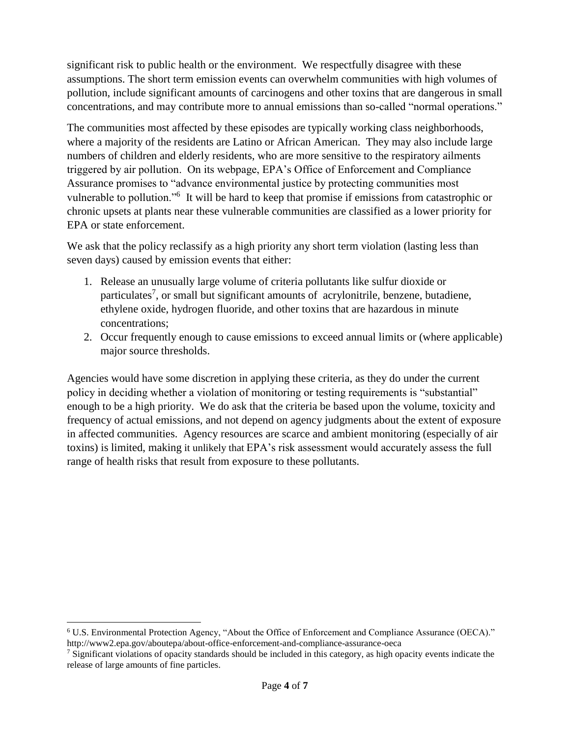significant risk to public health or the environment. We respectfully disagree with these assumptions. The short term emission events can overwhelm communities with high volumes of pollution, include significant amounts of carcinogens and other toxins that are dangerous in small concentrations, and may contribute more to annual emissions than so-called "normal operations."

The communities most affected by these episodes are typically working class neighborhoods, where a majority of the residents are Latino or African American. They may also include large numbers of children and elderly residents, who are more sensitive to the respiratory ailments triggered by air pollution. On its webpage, EPA's Office of Enforcement and Compliance Assurance promises to "advance environmental justice by protecting communities most vulnerable to pollution."<sup>6</sup> It will be hard to keep that promise if emissions from catastrophic or chronic upsets at plants near these vulnerable communities are classified as a lower priority for EPA or state enforcement.

We ask that the policy reclassify as a high priority any short term violation (lasting less than seven days) caused by emission events that either:

- 1. Release an unusually large volume of criteria pollutants like sulfur dioxide or particulates<sup>7</sup>, or small but significant amounts of acrylonitrile, benzene, butadiene, ethylene oxide, hydrogen fluoride, and other toxins that are hazardous in minute concentrations;
- 2. Occur frequently enough to cause emissions to exceed annual limits or (where applicable) major source thresholds.

Agencies would have some discretion in applying these criteria, as they do under the current policy in deciding whether a violation of monitoring or testing requirements is "substantial" enough to be a high priority. We do ask that the criteria be based upon the volume, toxicity and frequency of actual emissions, and not depend on agency judgments about the extent of exposure in affected communities. Agency resources are scarce and ambient monitoring (especially of air toxins) is limited, making it unlikely that EPA's risk assessment would accurately assess the full range of health risks that result from exposure to these pollutants.

 $\overline{\phantom{a}}$ <sup>6</sup> U.S. Environmental Protection Agency, "About the Office of Enforcement and Compliance Assurance (OECA)." http://www2.epa.gov/aboutepa/about-office-enforcement-and-compliance-assurance-oeca

 $<sup>7</sup>$  Significant violations of opacity standards should be included in this category, as high opacity events indicate the</sup> release of large amounts of fine particles.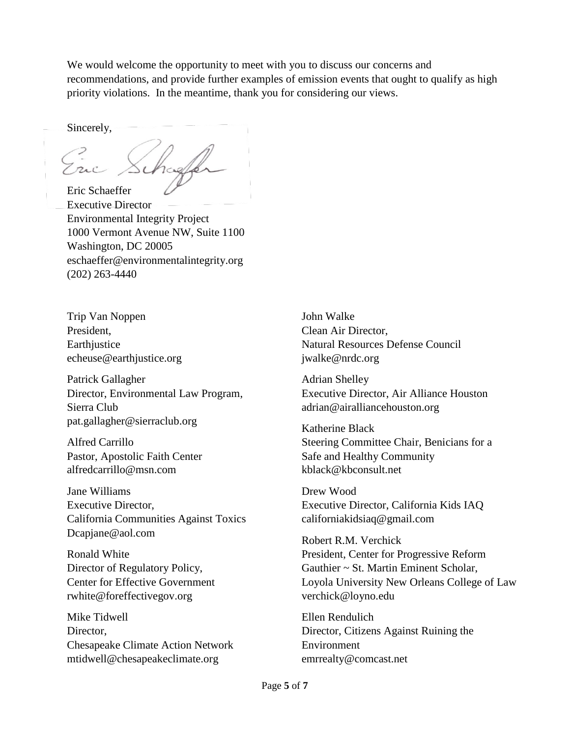We would welcome the opportunity to meet with you to discuss our concerns and recommendations, and provide further examples of emission events that ought to qualify as high priority violations. In the meantime, thank you for considering our views.

Sincerely,

Eric Schaeffer Executive Director Environmental Integrity Project 1000 Vermont Avenue NW, Suite 1100 Washington, DC 20005 eschaeffer@environmentalintegrity.org (202) 263-4440

Trip Van Noppen President, **Earthjustice** echeuse@earthjustice.org

Patrick Gallagher Director, Environmental Law Program, Sierra Club pat.gallagher@sierraclub.org

Alfred Carrillo Pastor, Apostolic Faith Center alfredcarrillo@msn.com

Jane Williams Executive Director, California Communities Against Toxics Dcapjane@aol.com

Ronald White Director of Regulatory Policy, Center for Effective Government rwhite@foreffectivegov.org

Mike Tidwell Director, Chesapeake Climate Action Network mtidwell@chesapeakeclimate.org

John Walke Clean Air Director, Natural Resources Defense Council jwalke@nrdc.org

Adrian Shelley Executive Director, Air Alliance Houston adrian@airalliancehouston.org

Katherine Black Steering Committee Chair, Benicians for a Safe and Healthy Community kblack@kbconsult.net

Drew Wood Executive Director, California Kids IAQ californiakidsiaq@gmail.com

Robert R.M. Verchick President, Center for Progressive Reform Gauthier ~ St. Martin Eminent Scholar, Loyola University New Orleans College of Law verchick@loyno.edu

Ellen Rendulich Director, Citizens Against Ruining the Environment emrrealty@comcast.net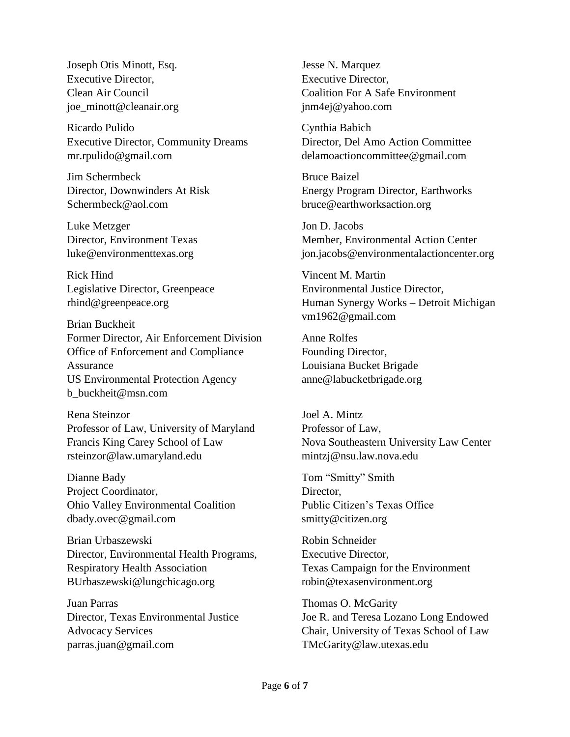Joseph Otis Minott, Esq. Executive Director, Clean Air Council joe\_minott@cleanair.org

Ricardo Pulido Executive Director, Community Dreams mr.rpulido@gmail.com

Jim Schermbeck Director, Downwinders At Risk Schermbeck@aol.com

Luke Metzger Director, Environment Texas luke@environmenttexas.org

Rick Hind Legislative Director, Greenpeace rhind@greenpeace.org

Brian Buckheit Former Director, Air Enforcement Division Office of Enforcement and Compliance Assurance US Environmental Protection Agency b\_buckheit@msn.com

Rena Steinzor Professor of Law, University of Maryland Francis King Carey School of Law rsteinzor@law.umaryland.edu

Dianne Bady Project Coordinator, Ohio Valley Environmental Coalition dbady.ovec@gmail.com

Brian Urbaszewski Director, Environmental Health Programs, Respiratory Health Association BUrbaszewski@lungchicago.org

Juan Parras Director, Texas Environmental Justice Advocacy Services parras.juan@gmail.com

Jesse N. Marquez Executive Director, Coalition For A Safe Environment jnm4ej@yahoo.com

Cynthia Babich Director, Del Amo Action Committee delamoactioncommittee@gmail.com

Bruce Baizel Energy Program Director, Earthworks bruce@earthworksaction.org

Jon D. Jacobs Member, Environmental Action Center jon.jacobs@environmentalactioncenter.org

Vincent M. Martin Environmental Justice Director, Human Synergy Works – Detroit Michigan vm1962@gmail.com

Anne Rolfes Founding Director, Louisiana Bucket Brigade anne@labucketbrigade.org

Joel A. Mintz Professor of Law, Nova Southeastern University Law Center mintzj@nsu.law.nova.edu

Tom "Smitty" Smith Director. Public Citizen's Texas Office smitty@citizen.org

Robin Schneider Executive Director, Texas Campaign for the Environment robin@texasenvironment.org

Thomas O. McGarity Joe R. and Teresa Lozano Long Endowed Chair, University of Texas School of Law TMcGarity@law.utexas.edu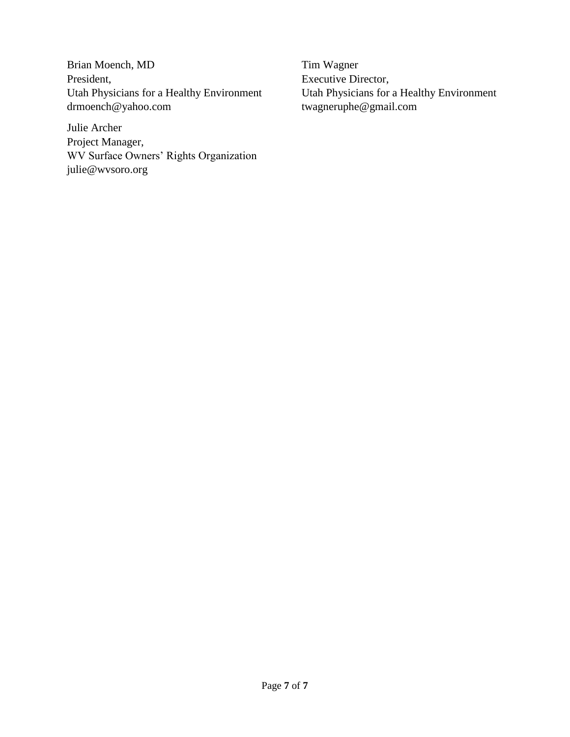Brian Moench, MD President, Utah Physicians for a Healthy Environment drmoench@yahoo.com

Julie Archer Project Manager, WV Surface Owners' Rights Organization julie@wvsoro.org

Tim Wagner Executive Director, Utah Physicians for a Healthy Environment twagneruphe@gmail.com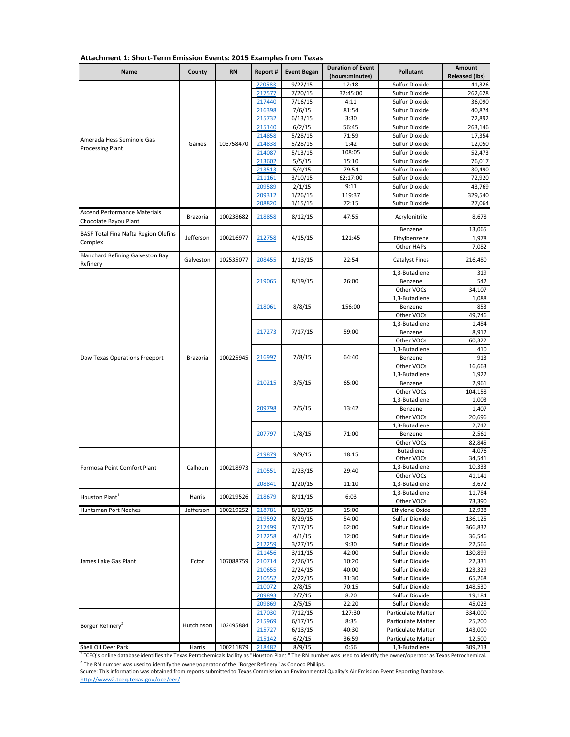| <b>Name</b>                                                  | County          | <b>RN</b>     | Report #         | <b>Event Began</b> | <b>Duration of Event</b><br>(hours:minutes) | <b>Pollutant</b>                               | <b>Amount</b><br><b>Released (lbs)</b> |
|--------------------------------------------------------------|-----------------|---------------|------------------|--------------------|---------------------------------------------|------------------------------------------------|----------------------------------------|
|                                                              |                 |               | 220583           | 9/22/15            | 12:18                                       | Sulfur Dioxide                                 | 41,326                                 |
|                                                              |                 |               | 217577           | 7/20/15            | 32:45:00                                    | <b>Sulfur Dioxide</b>                          | 262,628                                |
|                                                              |                 |               | 217440           | 7/16/15            | 4:11                                        | <b>Sulfur Dioxide</b>                          | 36,090                                 |
|                                                              |                 |               | 216398           | 7/6/15             | 81:54                                       | <b>Sulfur Dioxide</b>                          | 40,874                                 |
|                                                              |                 |               | 215732           | 6/13/15            | 3:30<br>56:45                               | <b>Sulfur Dioxide</b><br><b>Sulfur Dioxide</b> | 72,892                                 |
|                                                              |                 |               | 215140<br>214858 | 6/2/15<br>5/28/15  | 71:59                                       | <b>Sulfur Dioxide</b>                          | 263,146<br>17,354                      |
| Amerada Hess Seminole Gas                                    | Gaines          | 103758470     | 214838           | 5/28/15            | 1:42                                        | Sulfur Dioxide                                 | 12,050                                 |
| <b>Processing Plant</b>                                      |                 |               | 214087           | 5/13/15            | 108:05                                      | Sulfur Dioxide                                 | 52,473                                 |
|                                                              |                 |               | 213602           | 5/5/15             | 15:10                                       | <b>Sulfur Dioxide</b>                          | 76,017                                 |
|                                                              |                 |               | 213513           | 5/4/15             | 79:54                                       | Sulfur Dioxide                                 | 30,490                                 |
|                                                              |                 |               | 211161           | 3/10/15            | 62:17:00                                    | <b>Sulfur Dioxide</b>                          | 72,920                                 |
|                                                              |                 |               | 209589           | 2/1/15             | 9:11                                        | Sulfur Dioxide                                 | 43,769                                 |
|                                                              |                 |               | 209312           | 1/26/15            | 119:37                                      | Sulfur Dioxide                                 | 329,540                                |
|                                                              |                 |               | 208820           | 1/15/15            | 72:15                                       | <b>Sulfur Dioxide</b>                          | 27,064                                 |
| <b>Ascend Performance Materials</b><br>Chocolate Bayou Plant | <b>Brazoria</b> | 100238682     | 218858           | 8/12/15            | 47:55                                       | Acrylonitrile                                  | 8,678                                  |
| <b>BASF Total Fina Nafta Region Olefins</b>                  |                 |               |                  |                    |                                             | Benzene                                        | 13,065                                 |
| Complex                                                      | Jefferson       | 100216977     | 212758           | 4/15/15            | 121:45                                      | Ethylbenzene                                   | 1,978                                  |
|                                                              |                 |               |                  |                    |                                             | Other HAPs                                     | 7,082                                  |
| <b>Blanchard Refining Galveston Bay</b><br>Refinery          | Galveston       | 102535077     | 208455           | 1/13/15            | 22:54                                       | <b>Catalyst Fines</b>                          | 216,480                                |
|                                                              |                 |               |                  |                    |                                             | 1,3-Butadiene                                  | 319                                    |
|                                                              |                 |               | 219065           | 8/19/15            | 26:00                                       | Benzene                                        | 542                                    |
|                                                              |                 |               |                  |                    |                                             | Other VOCs                                     | 34,107                                 |
|                                                              |                 |               |                  |                    |                                             | 1,3-Butadiene                                  | 1,088                                  |
|                                                              |                 |               | 218061           | 8/8/15             | 156:00                                      | Benzene                                        | 853                                    |
|                                                              |                 |               |                  |                    |                                             | Other VOCs                                     | 49,746                                 |
|                                                              |                 |               |                  | 7/17/15            | 59:00                                       | 1,3-Butadiene                                  | 1,484                                  |
|                                                              |                 |               | 217273           |                    |                                             | Benzene                                        | 8,912<br>60,322                        |
|                                                              | Other VOCs      | 1,3-Butadiene | 410              |                    |                                             |                                                |                                        |
| Dow Texas Operations Freeport                                | <b>Brazoria</b> | 100225945     | 216997           | 7/8/15             | 64:40                                       | Benzene                                        | 913                                    |
|                                                              |                 |               |                  |                    |                                             | Other VOCs                                     | 16,663                                 |
|                                                              |                 |               |                  |                    |                                             | 1,3-Butadiene                                  | 1,922                                  |
|                                                              |                 |               | 210215           | 3/5/15             | 65:00                                       | Benzene                                        | 2,961                                  |
|                                                              |                 |               |                  |                    |                                             | Other VOCs                                     | 104,158                                |
|                                                              |                 |               |                  |                    |                                             | 1,3-Butadiene                                  | 1,003                                  |
|                                                              |                 |               | 209798           | 2/5/15             | 13:42                                       | Benzene                                        | 1,407                                  |
|                                                              |                 |               |                  |                    |                                             | Other VOCs                                     | 20,696                                 |
|                                                              |                 |               |                  |                    |                                             | 1,3-Butadiene                                  | 2,742                                  |
|                                                              |                 |               | 207797           | 1/8/15             | 71:00                                       | Benzene                                        | 2,561                                  |
|                                                              |                 |               |                  |                    |                                             | Other VOCs                                     | 82,845                                 |
|                                                              |                 |               | 219879           | 9/9/15             | 18:15                                       | <b>Butadiene</b><br>Other VOCs                 | 4,076<br>34,541                        |
| Formosa Point Comfort Plant                                  | Calhoun         | 100218973     |                  |                    |                                             | 1,3-Butadiene                                  | 10,333                                 |
|                                                              |                 |               | 210551           | 2/23/15            | 29:40                                       | Other VOCs                                     | 41,141                                 |
|                                                              |                 |               | 208841           | 1/20/15            | 11:10                                       | 1,3-Butadiene                                  | 3,672                                  |
|                                                              |                 |               |                  |                    |                                             | 1,3-Butadiene                                  | 11,784                                 |
| Houston Plant <sup>1</sup>                                   | Harris          | 100219526     | 218679           | 8/11/15            | 6:03                                        | Other VOCs                                     | 73,390                                 |
| Huntsman Port Neches                                         | Jefferson       | 100219252     | 218781           | 8/13/15            | 15:00                                       | Ethylene Oxide                                 | 12,938                                 |
|                                                              |                 |               | 219592           | 8/29/15            | 54:00                                       | <b>Sulfur Dioxide</b>                          | 136,125                                |
|                                                              |                 |               | 217499           | 7/17/15            | 62:00                                       | <b>Sulfur Dioxide</b>                          | 366,832                                |
|                                                              |                 |               | 212258           | 4/1/15             | 12:00                                       | <b>Sulfur Dioxide</b>                          | 36,546                                 |
|                                                              |                 |               | 212259           | 3/27/15            | 9:30                                        | <b>Sulfur Dioxide</b>                          | 22,566                                 |
|                                                              |                 |               | 211456           | 3/11/15            | 42:00                                       | <b>Sulfur Dioxide</b>                          | 130,899                                |
| James Lake Gas Plant                                         | Ector           | 107088759     | 210714           | 2/26/15            | 10:20                                       | <b>Sulfur Dioxide</b>                          | 22,331                                 |
|                                                              |                 |               | 210655           | 2/24/15            | 40:00                                       | <b>Sulfur Dioxide</b>                          | 123,329                                |
|                                                              |                 |               | 210552<br>210072 | 2/22/15            | 31:30<br>70:15                              | <b>Sulfur Dioxide</b><br><b>Sulfur Dioxide</b> | 65,268                                 |
|                                                              |                 |               | 209893           | 2/8/15<br>2/7/15   | 8:20                                        | Sulfur Dioxide                                 | 148,530<br>19,184                      |
|                                                              |                 |               | 209869           | 2/5/15             | 22:20                                       | Sulfur Dioxide                                 | 45,028                                 |
|                                                              |                 |               | 217030           | 7/12/15            | 127:30                                      | Particulate Matter                             | 334,000                                |
|                                                              |                 |               | 215969           | 6/17/15            | 8:35                                        | Particulate Matter                             | 25,200                                 |
| Borger Refinery <sup>2</sup>                                 | Hutchinson      | 102495884     | 215727           | 6/13/15            | 40:30                                       | Particulate Matter                             | 143,000                                |
|                                                              |                 |               | 215142           | 6/2/15             | 36:59                                       | Particulate Matter                             | 12,500                                 |
| Shell Oil Deer Park                                          | Harris          | 100211879     | 218482           | 8/9/15             | 0:56                                        | 1,3-Butadiene                                  | 309,213                                |

Source: This information was obtained from reports submitted to Texas Commission on Environmental Quality's Air Emission Event Reporting Database.

<http://www2.tceq.texas.gov/oce/eer/>

## **Attachment 1: Short-Term Emission Events: 2015 Examples from Texas**

 $^1$  TCEQ's online database identifies the Texas Petrochemicals facility as "Houston Plant." The RN number was used to identify the owner/operator as Texas Petrochemical.

 $^{2}$  The RN number was used to identify the owner/operator of the "Borger Refinery" as Conoco Phillips.